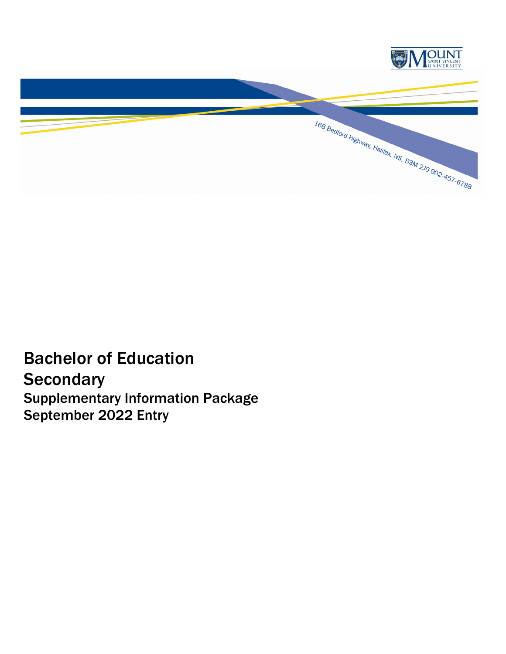

Bachelor of Education **Secondary** Supplementary Information Package September 2022 Entry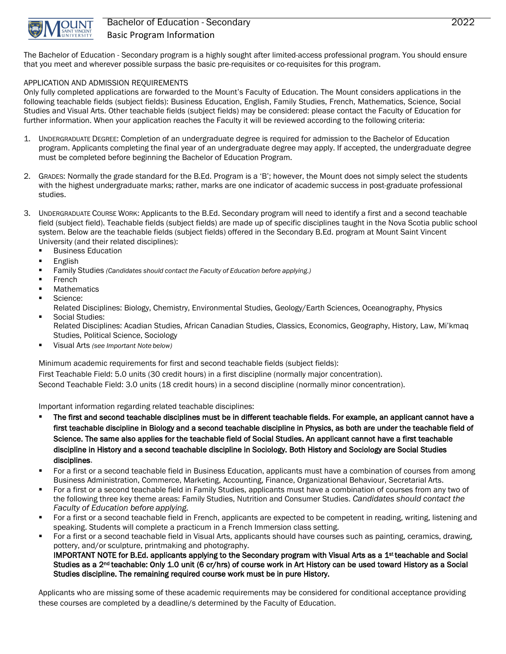

## Bachelor of Education - Secondary 2022 Basic Program Information

The Bachelor of Education - Secondary program is a highly sought after limited-access professional program. You should ensure that you meet and wherever possible surpass the basic pre-requisites or co-requisites for this program.

### APPLICATION AND ADMISSION REQUIREMENTS

Only fully completed applications are forwarded to the Mount's Faculty of Education. The Mount considers applications in the following teachable fields (subject fields): Business Education, English, Family Studies, French, Mathematics, Science, Social Studies and Visual Arts. Other teachable fields (subject fields) may be considered: please contact the Faculty of Education for further information. When your application reaches the Faculty it will be reviewed according to the following criteria:

- 1. UNDERGRADUATE DEGREE: Completion of an undergraduate degree is required for admission to the Bachelor of Education program. Applicants completing the final year of an undergraduate degree may apply. If accepted, the undergraduate degree must be completed before beginning the Bachelor of Education Program.
- 2. GRADES: Normally the grade standard for the B.Ed. Program is a 'B'; however, the Mount does not simply select the students with the highest undergraduate marks; rather, marks are one indicator of academic success in post-graduate professional studies.
- 3. UNDERGRADUATE COURSE WORK: Applicants to the B.Ed. Secondary program will need to identify a first and a second teachable field (subject field). Teachable fields (subject fields) are made up of specific disciplines taught in the Nova Scotia public school system. Below are the teachable fields (subject fields) offered in the Secondary B.Ed. program at Mount Saint Vincent University (and their related disciplines):
	- **Business Education**
	- **English**
	- Family Studies *(Candidates should contact the Faculty of Education before applying.)*
	- French
	- **Mathematics**
	- **Science:**

Related Disciplines: Biology, Chemistry, Environmental Studies, Geology/Earth Sciences, Oceanography, Physics Social Studies:

- Related Disciplines: Acadian Studies, African Canadian Studies, Classics, Economics, Geography, History, Law, Mi'kmaq Studies, Political Science, Sociology
- Visual Arts *(see Important Note below)*

Minimum academic requirements for first and second teachable fields (subject fields):

First Teachable Field: 5.0 units (30 credit hours) in a first discipline (normally major concentration).

Second Teachable Field: 3.0 units (18 credit hours) in a second discipline (normally minor concentration).

Important information regarding related teachable disciplines:

- The first and second teachable disciplines must be in different teachable fields. For example, an applicant cannot have a first teachable discipline in Biology and a second teachable discipline in Physics, as both are under the teachable field of Science. The same also applies for the teachable field of Social Studies. An applicant cannot have a first teachable discipline in History and a second teachable discipline in Sociology. Both History and Sociology are Social Studies disciplines.
- For a first or a second teachable field in Business Education, applicants must have a combination of courses from among Business Administration, Commerce, Marketing, Accounting, Finance, Organizational Behaviour, Secretarial Arts.
- For a first or a second teachable field in Family Studies, applicants must have a combination of courses from any two of the following three key theme areas: Family Studies, Nutrition and Consumer Studies. *Candidates should contact the Faculty of Education before applying.*
- For a first or a second teachable field in French, applicants are expected to be competent in reading, writing, listening and speaking. Students will complete a practicum in a French Immersion class setting.
- For a first or a second teachable field in Visual Arts, applicants should have courses such as painting, ceramics, drawing, pottery, and/or sculpture, printmaking and photography.

IMPORTANT NOTE for B.Ed. applicants applying to the Secondary program with Visual Arts as a 1<sup>st</sup> teachable and Social Studies as a 2nd teachable: Only 1.0 unit (6 cr/hrs) of course work in Art History can be used toward History as a Social Studies discipline. The remaining required course work must be in pure History.

Applicants who are missing some of these academic requirements may be considered for conditional acceptance providing these courses are completed by a deadline/s determined by the Faculty of Education.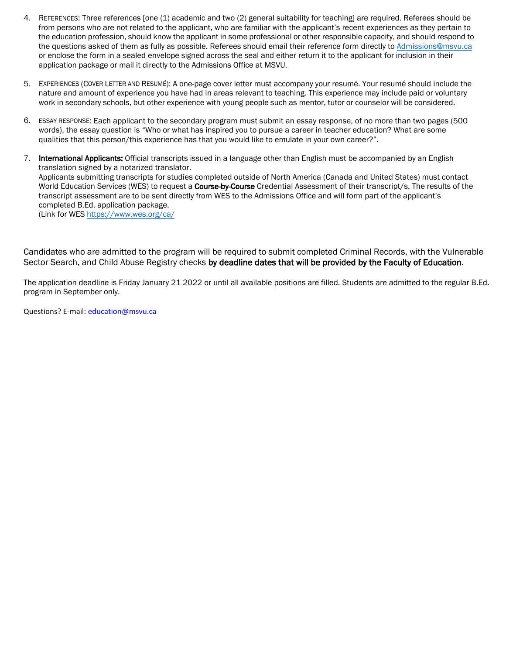- 4. REFERENCES: Three references [one (1) academic and two (2) general suitability for teaching] are required. Referees should be from persons who are not related to the applicant, who are familiar with the applicant's recent experiences as they pertain to the education profession, should know the applicant in some professional or other responsible capacity, and should respond to the questions asked of them as fully as possible. Referees should email their reference form directly to [Admissions@msvu.ca](mailto:Admissions@msvu.ca) or enclose the form in a sealed envelope signed across the seal and either return it to the applicant for inclusion in their application package or mail it directly to the Admissions Office at MSVU.
- 5. EXPERIENCES (COVER LETTER AND RESUMÉ): A one-page cover letter must accompany your resumé. Your resumé should include the nature and amount of experience you have had in areas relevant to teaching. This experience may include paid or voluntary work in secondary schools, but other experience with young people such as mentor, tutor or counselor will be considered.
- 6. ESSAY RESPONSE: Each applicant to the secondary program must submit an essay response, of no more than two pages (500 words), the essay question is "Who or what has inspired you to pursue a career in teacher education? What are some qualities that this person/this experience has that you would like to emulate in your own career?".
- 7. International Applicants: Official transcripts issued in a language other than English must be accompanied by an English translation signed by a notarized translator. Applicants submitting transcripts for studies completed outside of North America (Canada and United States) must contact World Education Services (WES) to request a Course-by-Course Credential Assessment of their transcript/s. The results of the transcript assessment are to be sent directly from WES to the Admissions Office and will form part of the applicant's completed B.Ed. application package. (Link for WES <https://www.wes.org/ca/>

Candidates who are admitted to the program will be required to submit completed Criminal Records, with the Vulnerable Sector Search, and Child Abuse Registry checks by deadline dates that will be provided by the Faculty of Education.

The application deadline is Friday January 21 2022 or until all available positions are filled. Students are admitted to the regular B.Ed. program in September only.

Questions? E-mail: education@msvu.ca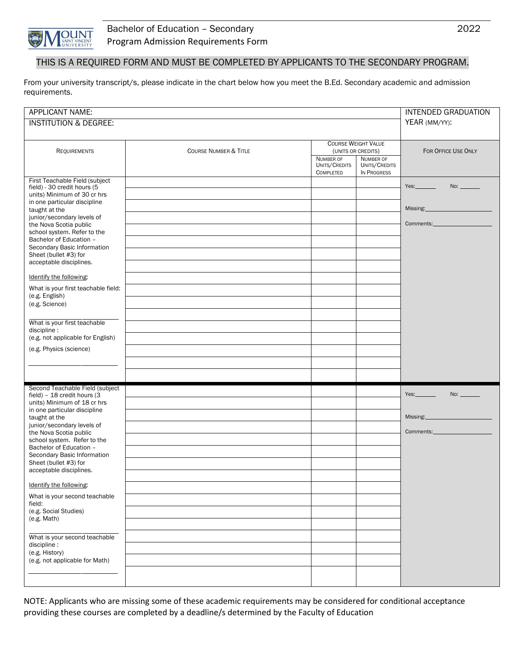

## THIS IS A REQUIRED FORM AND MUST BE COMPLETED BY APPLICANTS TO THE SECONDARY PROGRAM.

From your university transcript/s, please indicate in the chart below how you meet the B.Ed. Secondary academic and admission requirements.

| APPLICANT NAME:                                                                                                                                                                                                                                                                                                                                                                                                                                                                                                                                                         |                                  |                                                  |                                                  | <b>INTENDED GRADUATION</b>                                     |
|-------------------------------------------------------------------------------------------------------------------------------------------------------------------------------------------------------------------------------------------------------------------------------------------------------------------------------------------------------------------------------------------------------------------------------------------------------------------------------------------------------------------------------------------------------------------------|----------------------------------|--------------------------------------------------|--------------------------------------------------|----------------------------------------------------------------|
| <b>INSTITUTION &amp; DEGREE:</b>                                                                                                                                                                                                                                                                                                                                                                                                                                                                                                                                        | YEAR (MM/YY):                    |                                                  |                                                  |                                                                |
| <b>REQUIREMENTS</b>                                                                                                                                                                                                                                                                                                                                                                                                                                                                                                                                                     | <b>COURSE NUMBER &amp; TITLE</b> | <b>COURSE WEIGHT VALUE</b><br>(UNITS OR CREDITS) |                                                  | FOR OFFICE USE ONLY                                            |
|                                                                                                                                                                                                                                                                                                                                                                                                                                                                                                                                                                         |                                  | NUMBER OF<br>UNITS/CREDITS<br><b>COMPLETED</b>   | <b>NUMBER OF</b><br>UNITS/CREDITS<br>IN PROGRESS |                                                                |
| First Teachable Field (subject<br>field) - 30 credit hours (5<br>units) Minimum of 30 cr hrs<br>in one particular discipline<br>taught at the<br>junior/secondary levels of<br>the Nova Scotia public<br>school system. Refer to the<br>Bachelor of Education -<br>Secondary Basic Information<br>Sheet (bullet #3) for<br>acceptable disciplines.<br>Identify the following:<br>What is your first teachable field:<br>(e.g. English)<br>(e.g. Science)<br>What is your first teachable<br>discipline:<br>(e.g. not applicable for English)<br>(e.g. Physics (science) |                                  |                                                  |                                                  | Yes.<br>No:<br>Missing: 1997<br>Comments: <b>Comments:</b>     |
| Second Teachable Field (subject<br>field) - 18 credit hours (3<br>units) Minimum of 18 cr hrs<br>in one particular discipline<br>taught at the<br>junior/secondary levels of<br>the Nova Scotia public<br>school system. Refer to the<br>Bachelor of Education -<br>Secondary Basic Information<br>Sheet (bullet #3) for<br>acceptable disciplines.<br>Identify the following:<br>What is your second teachable<br>field:<br>(e.g. Social Studies)<br>(e.g. Math)<br>What is your second teachable<br>discipline:<br>(e.g. History)<br>(e.g. not applicable for Math)   |                                  |                                                  |                                                  | Yes:<br>No: $\qquad \qquad$<br>Missing: 1997<br>Comments: 2000 |

NOTE: Applicants who are missing some of these academic requirements may be considered for conditional acceptance providing these courses are completed by a deadline/s determined by the Faculty of Education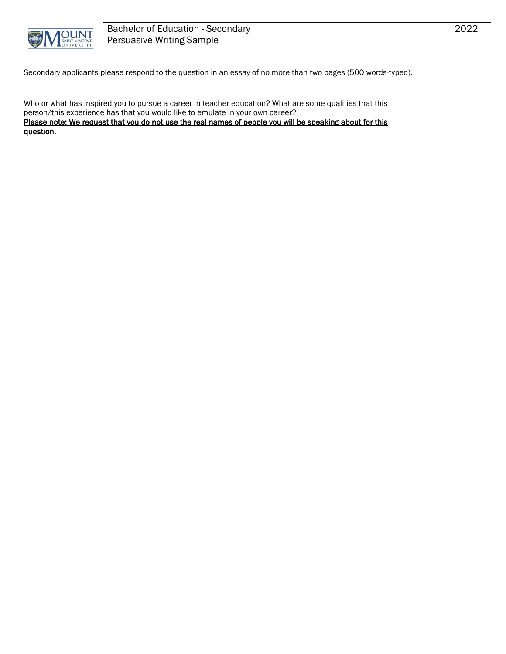

Secondary applicants please respond to the question in an essay of no more than two pages (500 words-typed).

Who or what has inspired you to pursue a career in teacher education? What are some qualities that this person/this experience has that you would like to emulate in your own career? Please note: We request that you do not use the real names of people you will be speaking about for this

question.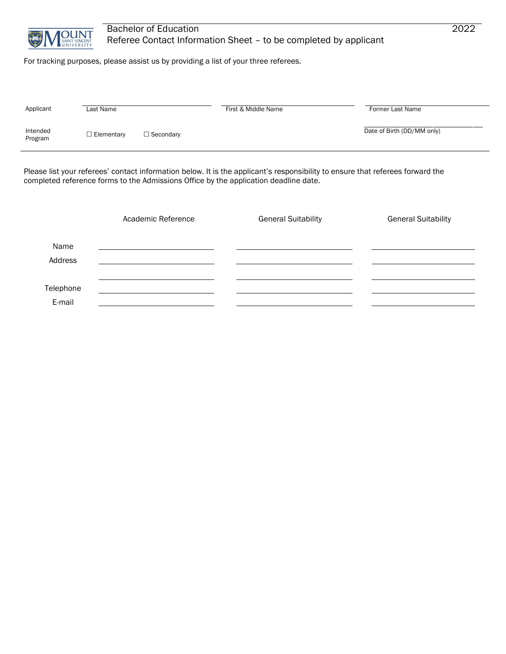

## Bachelor of Education 2022 Referee Contact Information Sheet – to be completed by applicant

For tracking purposes, please assist us by providing a list of your three referees.

| Date of Birth (DD/MM only) | Applicant | Last Name         |                  | First & Middle Name | Former Last Name |
|----------------------------|-----------|-------------------|------------------|---------------------|------------------|
| Program                    | Intended  | $\Box$ Elementary | $\Box$ Secondary |                     |                  |

Please list your referees' contact information below. It is the applicant's responsibility to ensure that referees forward the completed reference forms to the Admissions Office by the application deadline date.

|                     | Academic Reference | <b>General Suitability</b> | <b>General Suitability</b> |
|---------------------|--------------------|----------------------------|----------------------------|
| Name<br>Address     |                    |                            |                            |
| Telephone<br>E-mail |                    |                            |                            |